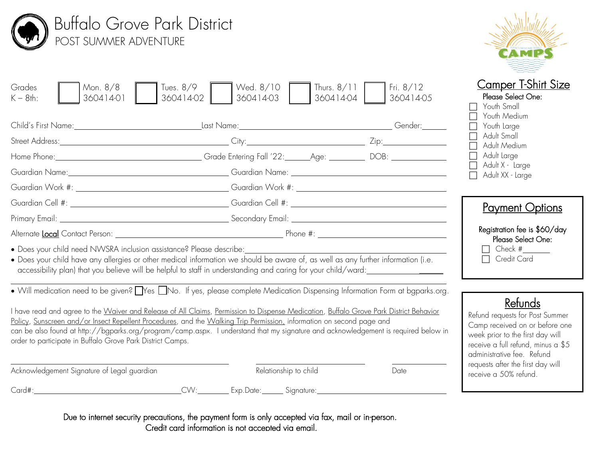| <b>Camper T-Shirt Size</b><br>Thurs. $8/11$<br>Fri. $8/12$<br>Mon. 8/8<br>Tues. $8/9$<br>Wed. 8/10<br>Please Select One:<br>360414-02<br>360414-03<br>360414-04<br>360414-05<br>360414-01<br>$K - 8$ th:<br>Youth Small<br>Youth Medium<br>Youth Large<br>Adult Small<br>Adult Medium<br>Home Phone: 2008: 22: 2008: 2008: 2018: 22: 2018: 22: 2018: 2018: 2018: 2018: 2018: 2018: 2018: 2018: 2018: 20<br>Adult Large<br>Adult X - Large<br>Adult XX - Large<br>Guardian Work #: Guardian Work #: Guardian Work #: Cuardian Work #: Cuardian Work #: Cuardian Work #: Cuardian Work #: Cuardian Mork #: Cuardian Mork #: Cuardian Mork #: Cuardian Mork #: Cuardian Mork #: Cuardian Mork #: C<br><b>Payment Options</b><br>Primary Email: <u>Alexander Secondary Email:</u> Secondary Email: Secondary Email: Alexander Secondary Email: Alexander Secondary Email: Alexander Secondary Email: Alexander Secondary Email: Alexander Secondary Email: Alexander<br>Registration fee is \$60/day<br>Please Select One:<br>Check $#_$<br>• Does your child need NWSRA inclusion assistance? Please describe:<br>□ Credit Card<br>. Does your child have any allergies or other medical information we should be aware of, as well as any further information (i.e.<br>• Will medication need to be given? TYes TNo. If yes, please complete Medication Dispensing Information Form at baparks.org.<br>Refunds<br>I have read and agree to the Waiver and Release of All Claims, Permission to Dispense Medication, Buffalo Grove Park District Behavior<br>Refund requests for Post Summer<br>Policy, Sunscreen and/or Insect Repellent Procedures, and the Walking Trip Permission, information on second page and<br>Camp received on or before one<br>can be also found at http://bgparks.org/program/camp.aspx. I understand that my signature and acknowledgement is required below in<br>week prior to the first day will<br>order to participate in Buffalo Grove Park District Camps.<br>receive a full refund, minus a \$5<br>administrative fee. Refund<br>requests after the first day will<br>Acknowledgement Signature of Legal guardian<br>Relationship to child<br>Date<br>receive a 50% refund.<br>CVV: Exp.Date: Signature: | <b>Buffalo Grove Park District</b><br><b>POST SUMMER ADVENTURE</b> |  |  |  |  |
|---------------------------------------------------------------------------------------------------------------------------------------------------------------------------------------------------------------------------------------------------------------------------------------------------------------------------------------------------------------------------------------------------------------------------------------------------------------------------------------------------------------------------------------------------------------------------------------------------------------------------------------------------------------------------------------------------------------------------------------------------------------------------------------------------------------------------------------------------------------------------------------------------------------------------------------------------------------------------------------------------------------------------------------------------------------------------------------------------------------------------------------------------------------------------------------------------------------------------------------------------------------------------------------------------------------------------------------------------------------------------------------------------------------------------------------------------------------------------------------------------------------------------------------------------------------------------------------------------------------------------------------------------------------------------------------------------------------------------------------------------------------------------------------------------------------------------------------------------------------------------------------------------------------------------------------------------------------------------------------------------------------------------------------------------------------------------------------------------------------------------------------------------------------------------------------------------------------------------------------------|--------------------------------------------------------------------|--|--|--|--|
|                                                                                                                                                                                                                                                                                                                                                                                                                                                                                                                                                                                                                                                                                                                                                                                                                                                                                                                                                                                                                                                                                                                                                                                                                                                                                                                                                                                                                                                                                                                                                                                                                                                                                                                                                                                                                                                                                                                                                                                                                                                                                                                                                                                                                                             | Grades                                                             |  |  |  |  |
|                                                                                                                                                                                                                                                                                                                                                                                                                                                                                                                                                                                                                                                                                                                                                                                                                                                                                                                                                                                                                                                                                                                                                                                                                                                                                                                                                                                                                                                                                                                                                                                                                                                                                                                                                                                                                                                                                                                                                                                                                                                                                                                                                                                                                                             |                                                                    |  |  |  |  |
|                                                                                                                                                                                                                                                                                                                                                                                                                                                                                                                                                                                                                                                                                                                                                                                                                                                                                                                                                                                                                                                                                                                                                                                                                                                                                                                                                                                                                                                                                                                                                                                                                                                                                                                                                                                                                                                                                                                                                                                                                                                                                                                                                                                                                                             |                                                                    |  |  |  |  |
|                                                                                                                                                                                                                                                                                                                                                                                                                                                                                                                                                                                                                                                                                                                                                                                                                                                                                                                                                                                                                                                                                                                                                                                                                                                                                                                                                                                                                                                                                                                                                                                                                                                                                                                                                                                                                                                                                                                                                                                                                                                                                                                                                                                                                                             |                                                                    |  |  |  |  |
|                                                                                                                                                                                                                                                                                                                                                                                                                                                                                                                                                                                                                                                                                                                                                                                                                                                                                                                                                                                                                                                                                                                                                                                                                                                                                                                                                                                                                                                                                                                                                                                                                                                                                                                                                                                                                                                                                                                                                                                                                                                                                                                                                                                                                                             |                                                                    |  |  |  |  |
|                                                                                                                                                                                                                                                                                                                                                                                                                                                                                                                                                                                                                                                                                                                                                                                                                                                                                                                                                                                                                                                                                                                                                                                                                                                                                                                                                                                                                                                                                                                                                                                                                                                                                                                                                                                                                                                                                                                                                                                                                                                                                                                                                                                                                                             |                                                                    |  |  |  |  |
|                                                                                                                                                                                                                                                                                                                                                                                                                                                                                                                                                                                                                                                                                                                                                                                                                                                                                                                                                                                                                                                                                                                                                                                                                                                                                                                                                                                                                                                                                                                                                                                                                                                                                                                                                                                                                                                                                                                                                                                                                                                                                                                                                                                                                                             |                                                                    |  |  |  |  |
|                                                                                                                                                                                                                                                                                                                                                                                                                                                                                                                                                                                                                                                                                                                                                                                                                                                                                                                                                                                                                                                                                                                                                                                                                                                                                                                                                                                                                                                                                                                                                                                                                                                                                                                                                                                                                                                                                                                                                                                                                                                                                                                                                                                                                                             |                                                                    |  |  |  |  |
|                                                                                                                                                                                                                                                                                                                                                                                                                                                                                                                                                                                                                                                                                                                                                                                                                                                                                                                                                                                                                                                                                                                                                                                                                                                                                                                                                                                                                                                                                                                                                                                                                                                                                                                                                                                                                                                                                                                                                                                                                                                                                                                                                                                                                                             |                                                                    |  |  |  |  |
|                                                                                                                                                                                                                                                                                                                                                                                                                                                                                                                                                                                                                                                                                                                                                                                                                                                                                                                                                                                                                                                                                                                                                                                                                                                                                                                                                                                                                                                                                                                                                                                                                                                                                                                                                                                                                                                                                                                                                                                                                                                                                                                                                                                                                                             |                                                                    |  |  |  |  |
|                                                                                                                                                                                                                                                                                                                                                                                                                                                                                                                                                                                                                                                                                                                                                                                                                                                                                                                                                                                                                                                                                                                                                                                                                                                                                                                                                                                                                                                                                                                                                                                                                                                                                                                                                                                                                                                                                                                                                                                                                                                                                                                                                                                                                                             |                                                                    |  |  |  |  |

Due to internet security precautions, the payment form is only accepted via fax, mail or in-person. Credit card information is not accepted via email.